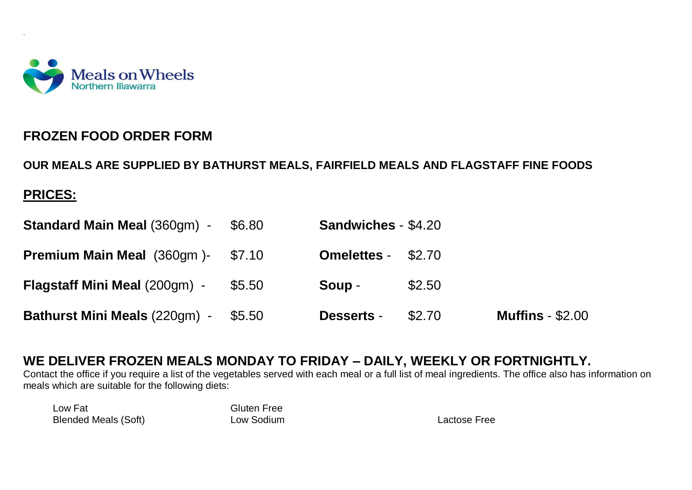

## **FROZEN FOOD ORDER FORM**

**OUR MEALS ARE SUPPLIED BY BATHURST MEALS, FAIRFIELD MEALS AND FLAGSTAFF FINE FOODS** 

## **PRICES:**

.

| <b>Standard Main Meal (360gm) -</b>  | \$6.80 | <b>Sandwiches - \$4.20</b> |        |                         |
|--------------------------------------|--------|----------------------------|--------|-------------------------|
| <b>Premium Main Meal</b> (360gm)-    | \$7.10 | <b>Omelettes - \$2.70</b>  |        |                         |
| <b>Flagstaff Mini Meal (200gm) -</b> | \$5.50 | Soup -                     | \$2.50 |                         |
| <b>Bathurst Mini Meals (220gm) -</b> | \$5.50 | <b>Desserts -</b>          | \$2.70 | <b>Muffins - \$2.00</b> |

## **WE DELIVER FROZEN MEALS MONDAY TO FRIDAY – DAILY, WEEKLY OR FORTNIGHTLY.**

Contact the office if you require a list of the vegetables served with each meal or a full list of meal ingredients. The office also has information on meals which are suitable for the following diets:

Low Fat Communication Communication Communication Communication Communication Communication Communication Comm<br>
Low Sodium Blended Meals (Soft) **Low Sodium** Lactose Free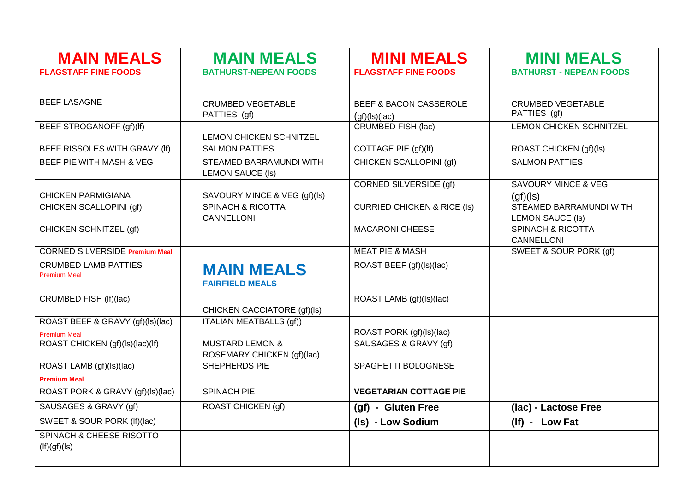| <b>MAIN MEALS</b><br><b>FLAGSTAFF FINE FOODS</b>   | <b>MAIN MEALS</b><br><b>BATHURST-NEPEAN FOODS</b>        | <b>MINI MEALS</b><br><b>FLAGSTAFF FINE FOODS</b>   | <b>MINI MEALS</b><br><b>BATHURST - NEPEAN FOODS</b> |
|----------------------------------------------------|----------------------------------------------------------|----------------------------------------------------|-----------------------------------------------------|
| <b>BEEF LASAGNE</b>                                | <b>CRUMBED VEGETABLE</b><br>PATTIES (gf)                 | <b>BEEF &amp; BACON CASSEROLE</b><br>(gf)(ls)(lac) | <b>CRUMBED VEGETABLE</b><br>PATTIES (gf)            |
| BEEF STROGANOFF (gf)(lf)                           | <b>LEMON CHICKEN SCHNITZEL</b>                           | <b>CRUMBED FISH (lac)</b>                          | <b>LEMON CHICKEN SCHNITZEL</b>                      |
| BEEF RISSOLES WITH GRAVY (If)                      | <b>SALMON PATTIES</b>                                    | COTTAGE PIE (gf)(lf)                               | ROAST CHICKEN (gf)(ls)                              |
| BEEF PIE WITH MASH & VEG                           | STEAMED BARRAMUNDI WITH<br><b>LEMON SAUCE (Is)</b>       | CHICKEN SCALLOPINI (gf)                            | <b>SALMON PATTIES</b>                               |
| <b>CHICKEN PARMIGIANA</b>                          | SAVOURY MINCE & VEG (gf)(ls)                             | <b>CORNED SILVERSIDE (gf)</b>                      | <b>SAVOURY MINCE &amp; VEG</b><br>(af)(ls)          |
| CHICKEN SCALLOPINI (gf)                            | <b>SPINACH &amp; RICOTTA</b><br>CANNELLONI               | <b>CURRIED CHICKEN &amp; RICE (Is)</b>             | STEAMED BARRAMUNDI WITH<br><b>LEMON SAUCE (Is)</b>  |
| <b>CHICKEN SCHNITZEL (gf)</b>                      |                                                          | <b>MACARONI CHEESE</b>                             | <b>SPINACH &amp; RICOTTA</b><br><b>CANNELLONI</b>   |
| <b>CORNED SILVERSIDE Premium Meal</b>              |                                                          | <b>MEAT PIE &amp; MASH</b>                         | SWEET & SOUR PORK (gf)                              |
| <b>CRUMBED LAMB PATTIES</b><br><b>Premium Meal</b> | <b>MAIN MEALS</b><br><b>FAIRFIELD MEALS</b>              | ROAST BEEF (gf)(ls)(lac)                           |                                                     |
| CRUMBED FISH (If)(lac)                             | CHICKEN CACCIATORE (gf)(ls)                              | ROAST LAMB (gf)(ls)(lac)                           |                                                     |
| ROAST BEEF & GRAVY (gf)(ls)(lac)                   | ITALIAN MEATBALLS (gf))                                  |                                                    |                                                     |
| <b>Premium Meal</b>                                |                                                          | ROAST PORK (gf)(ls)(lac)                           |                                                     |
| ROAST CHICKEN (gf)(ls)(lac)(lf)                    | <b>MUSTARD LEMON &amp;</b><br>ROSEMARY CHICKEN (gf)(lac) | SAUSAGES & GRAVY (gf)                              |                                                     |
| ROAST LAMB (gf)(ls)(lac)<br><b>Premium Meal</b>    | SHEPHERDS PIE                                            | SPAGHETTI BOLOGNESE                                |                                                     |
| ROAST PORK & GRAVY (gf)(ls)(lac)                   | <b>SPINACH PIE</b>                                       | <b>VEGETARIAN COTTAGE PIE</b>                      |                                                     |
| SAUSAGES & GRAVY (gf)                              | ROAST CHICKEN (gf)                                       | (gf) - Gluten Free                                 | (lac) - Lactose Free                                |
| SWEET & SOUR PORK (If)(lac)                        |                                                          | (Is) - Low Sodium                                  | (If) - Low Fat                                      |
| SPINACH & CHEESE RISOTTO<br>$($ lf $)(gf)(ls)$     |                                                          |                                                    |                                                     |

.